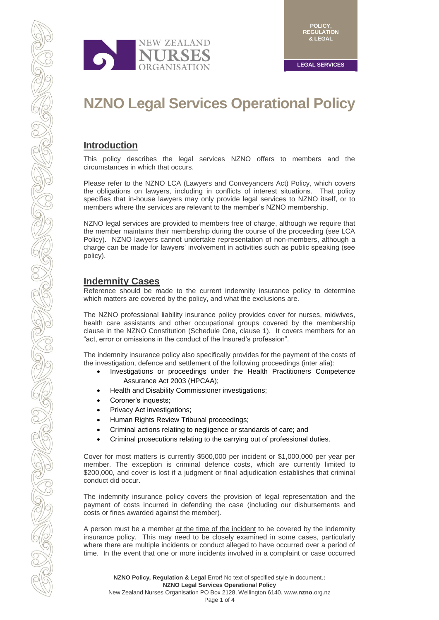

# **NZNO Legal Services Operational Policy**

# **Introduction**

This policy describes the legal services NZNO offers to members and the circumstances in which that occurs.

Please refer to the NZNO LCA (Lawyers and Conveyancers Act) Policy, which covers the obligations on lawyers, including in conflicts of interest situations. That policy specifies that in-house lawyers may only provide legal services to NZNO itself, or to members where the services are relevant to the member's NZNO membership.

NZNO legal services are provided to members free of charge, although we require that the member maintains their membership during the course of the proceeding (see LCA Policy). NZNO lawyers cannot undertake representation of non-members, although a charge can be made for lawyers' involvement in activities such as public speaking (see policy).

# **Indemnity Cases**

Reference should be made to the current indemnity insurance policy to determine which matters are covered by the policy, and what the exclusions are.

The NZNO professional liability insurance policy provides cover for nurses, midwives, health care assistants and other occupational groups covered by the membership clause in the NZNO Constitution (Schedule One, clause 1). It covers members for an "act, error or omissions in the conduct of the Insured's profession".

The indemnity insurance policy also specifically provides for the payment of the costs of the investigation, defence and settlement of the following proceedings (inter alia):

- Investigations or proceedings under the Health Practitioners Competence Assurance Act 2003 (HPCAA);
- Health and Disability Commissioner investigations;
- Coroner's inquests;
- Privacy Act investigations;
- Human Rights Review Tribunal proceedings;
- Criminal actions relating to negligence or standards of care; and
- Criminal prosecutions relating to the carrying out of professional duties.

Cover for most matters is currently \$500,000 per incident or \$1,000,000 per year per member. The exception is criminal defence costs, which are currently limited to \$200,000, and cover is lost if a judgment or final adjudication establishes that criminal conduct did occur.

The indemnity insurance policy covers the provision of legal representation and the payment of costs incurred in defending the case (including our disbursements and costs or fines awarded against the member).

A person must be a member at the time of the incident to be covered by the indemnity insurance policy. This may need to be closely examined in some cases, particularly where there are multiple incidents or conduct alleged to have occurred over a period of time. In the event that one or more incidents involved in a complaint or case occurred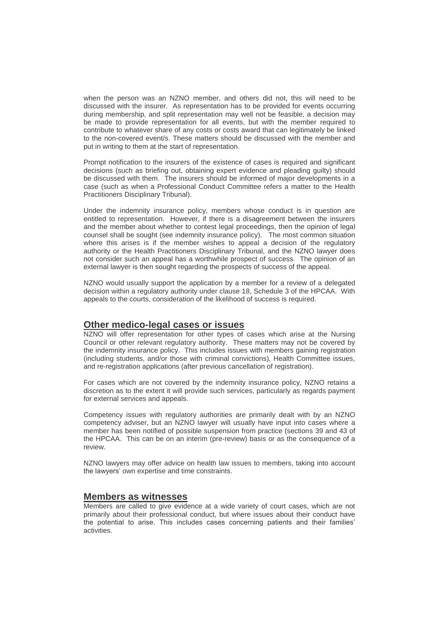when the person was an NZNO member, and others did not, this will need to be discussed with the insurer. As representation has to be provided for events occurring during membership, and split representation may well not be feasible, a decision may be made to provide representation for all events, but with the member required to contribute to whatever share of any costs or costs award that can legitimately be linked to the non-covered event/s. These matters should be discussed with the member and put in writing to them at the start of representation.

Prompt notification to the insurers of the existence of cases is required and significant decisions (such as briefing out, obtaining expert evidence and pleading guilty) should be discussed with them. The insurers should be informed of major developments in a case (such as when a Professional Conduct Committee refers a matter to the Health Practitioners Disciplinary Tribunal).

Under the indemnity insurance policy, members whose conduct is in question are entitled to representation. However, if there is a disagreement between the insurers and the member about whether to contest legal proceedings, then the opinion of legal counsel shall be sought (see indemnity insurance policy). The most common situation where this arises is if the member wishes to appeal a decision of the regulatory authority or the Health Practitioners Disciplinary Tribunal, and the NZNO lawyer does not consider such an appeal has a worthwhile prospect of success. The opinion of an external lawyer is then sought regarding the prospects of success of the appeal.

NZNO would usually support the application by a member for a review of a delegated decision within a regulatory authority under clause 18, Schedule 3 of the HPCAA. With appeals to the courts, consideration of the likelihood of success is required.

# **Other medico-legal cases or issues**

NZNO will offer representation for other types of cases which arise at the Nursing Council or other relevant regulatory authority. These matters may not be covered by the indemnity insurance policy. This includes issues with members gaining registration (including students, and/or those with criminal convictions), Health Committee issues, and re-registration applications (after previous cancellation of registration).

For cases which are not covered by the indemnity insurance policy, NZNO retains a discretion as to the extent it will provide such services, particularly as regards payment for external services and appeals.

Competency issues with regulatory authorities are primarily dealt with by an NZNO competency adviser, but an NZNO lawyer will usually have input into cases where a member has been notified of possible suspension from practice (sections 39 and 43 of the HPCAA. This can be on an interim (pre-review) basis or as the consequence of a review.

NZNO lawyers may offer advice on health law issues to members, taking into account the lawyers' own expertise and time constraints.

#### **Members as witnesses**

Members are called to give evidence at a wide variety of court cases, which are not primarily about their professional conduct, but where issues about their conduct have the potential to arise. This includes cases concerning patients and their families' activities.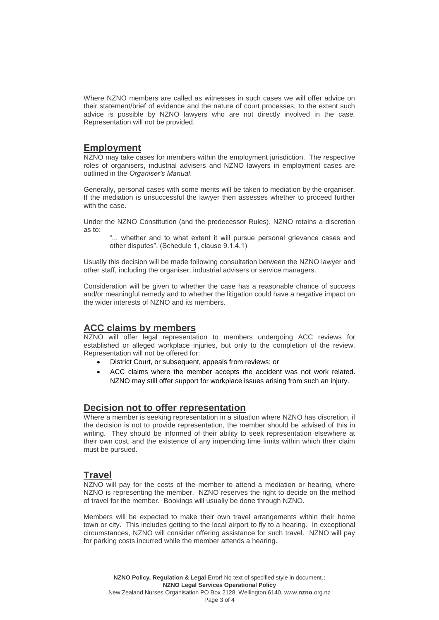Where NZNO members are called as witnesses in such cases we will offer advice on their statement/brief of evidence and the nature of court processes, to the extent such advice is possible by NZNO lawyers who are not directly involved in the case. Representation will not be provided.

# **Employment**

NZNO may take cases for members within the employment jurisdiction. The respective roles of organisers, industrial advisers and NZNO lawyers in employment cases are outlined in the *Organiser's Manual*.

Generally, personal cases with some merits will be taken to mediation by the organiser. If the mediation is unsuccessful the lawyer then assesses whether to proceed further with the case.

Under the NZNO Constitution (and the predecessor Rules). NZNO retains a discretion as to:

"... whether and to what extent it will pursue personal grievance cases and other disputes". (Schedule 1, clause 9.1.4.1)

Usually this decision will be made following consultation between the NZNO lawyer and other staff, including the organiser, industrial advisers or service managers.

Consideration will be given to whether the case has a reasonable chance of success and/or meaningful remedy and to whether the litigation could have a negative impact on the wider interests of NZNO and its members.

# **ACC claims by members**

NZNO will offer legal representation to members undergoing ACC reviews for established or alleged workplace injuries, but only to the completion of the review. Representation will not be offered for:

- District Court, or subsequent, appeals from reviews; or
- ACC claims where the member accepts the accident was not work related. NZNO may still offer support for workplace issues arising from such an injury.

# **Decision not to offer representation**

Where a member is seeking representation in a situation where NZNO has discretion, if the decision is not to provide representation, the member should be advised of this in writing. They should be informed of their ability to seek representation elsewhere at their own cost, and the existence of any impending time limits within which their claim must be pursued.

# **Travel**

NZNO will pay for the costs of the member to attend a mediation or hearing, where NZNO is representing the member. NZNO reserves the right to decide on the method of travel for the member. Bookings will usually be done through NZNO.

Members will be expected to make their own travel arrangements within their home town or city. This includes getting to the local airport to fly to a hearing. In exceptional circumstances, NZNO will consider offering assistance for such travel. NZNO will pay for parking costs incurred while the member attends a hearing.